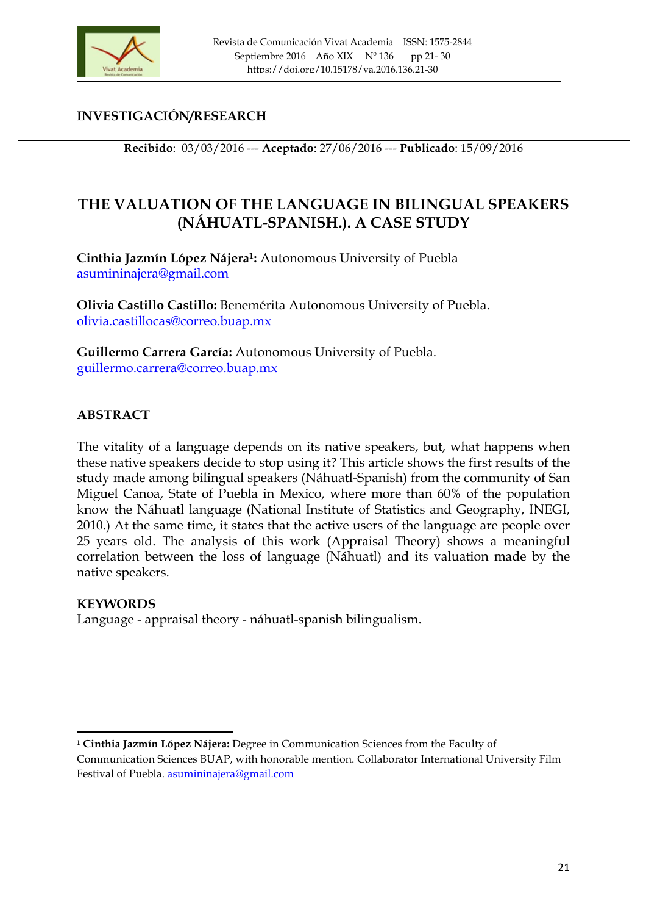

# **INVESTIGACIÓN/RESEARCH**

**Recibido**: 03/03/2016 --- **Aceptado**: 27/06/2016 --- **Publicado**: 15/09/2016

# **THE VALUATION OF THE LANGUAGE IN BILINGUAL SPEAKERS (NÁHUATL-SPANISH.). A CASE STUDY**

**Cinthia Jazmín López Nájera1:** Autonomous University of Puebla asumininajera@gmail.com

**Olivia Castillo Castillo:** Benemérita Autonomous University of Puebla. olivia.castillocas@correo.buap.mx

**Guillermo Carrera García:** Autonomous University of Puebla. guillermo.carrera@correo.buap.mx

# **ABSTRACT**

The vitality of a language depends on its native speakers, but, what happens when these native speakers decide to stop using it? This article shows the first results of the study made among bilingual speakers (Náhuatl-Spanish) from the community of San Miguel Canoa, State of Puebla in Mexico, where more than 60% of the population know the Náhuatl language (National Institute of Statistics and Geography, INEGI, 2010.) At the same time, it states that the active users of the language are people over 25 years old. The analysis of this work (Appraisal Theory) shows a meaningful correlation between the loss of language (Náhuatl) and its valuation made by the native speakers.

## **KEYWORDS**

<u> 1989 - Johann Stein, fransk politik (d. 1989)</u>

Language - appraisal theory - náhuatl-spanish bilingualism.

**<sup>1</sup> Cinthia Jazmín López Nájera:** Degree in Communication Sciences from the Faculty of

Communication Sciences BUAP, with honorable mention. Collaborator International University Film Festival of Puebla. asumininajera@gmail.com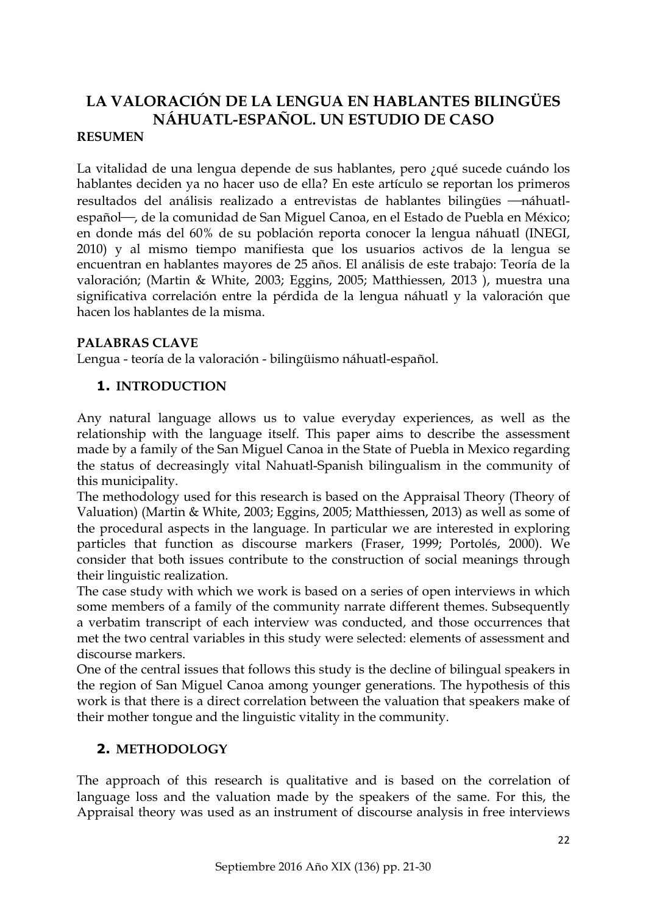# **LA VALORACIÓN DE LA LENGUA EN HABLANTES BILINGÜES NÁHUATL-ESPAÑOL. UN ESTUDIO DE CASO RESUMEN**

La vitalidad de una lengua depende de sus hablantes, pero ¿qué sucede cuándo los hablantes deciden ya no hacer uso de ella? En este artículo se reportan los primeros resultados del análisis realizado a entrevistas de hablantes bilingües - náhuatlespañol —, de la comunidad de San Miguel Canoa, en el Estado de Puebla en México; en donde más del 60% de su población reporta conocer la lengua náhuatl (INEGI, 2010) y al mismo tiempo manifiesta que los usuarios activos de la lengua se encuentran en hablantes mayores de 25 años. El análisis de este trabajo: Teoría de la valoración; (Martin & White, 2003; Eggins, 2005; Matthiessen, 2013 ), muestra una significativa correlación entre la pérdida de la lengua náhuatl y la valoración que hacen los hablantes de la misma.

# **PALABRAS CLAVE**

Lengua - teoría de la valoración - bilingüismo náhuatl-español.

# **1. INTRODUCTION**

Any natural language allows us to value everyday experiences, as well as the relationship with the language itself. This paper aims to describe the assessment made by a family of the San Miguel Canoa in the State of Puebla in Mexico regarding the status of decreasingly vital Nahuatl-Spanish bilingualism in the community of this municipality.

The methodology used for this research is based on the Appraisal Theory (Theory of Valuation) (Martin & White, 2003; Eggins, 2005; Matthiessen, 2013) as well as some of the procedural aspects in the language. In particular we are interested in exploring particles that function as discourse markers (Fraser, 1999; Portolés, 2000). We consider that both issues contribute to the construction of social meanings through their linguistic realization.

The case study with which we work is based on a series of open interviews in which some members of a family of the community narrate different themes. Subsequently a verbatim transcript of each interview was conducted, and those occurrences that met the two central variables in this study were selected: elements of assessment and discourse markers.

One of the central issues that follows this study is the decline of bilingual speakers in the region of San Miguel Canoa among younger generations. The hypothesis of this work is that there is a direct correlation between the valuation that speakers make of their mother tongue and the linguistic vitality in the community.

# **2. METHODOLOGY**

The approach of this research is qualitative and is based on the correlation of language loss and the valuation made by the speakers of the same. For this, the Appraisal theory was used as an instrument of discourse analysis in free interviews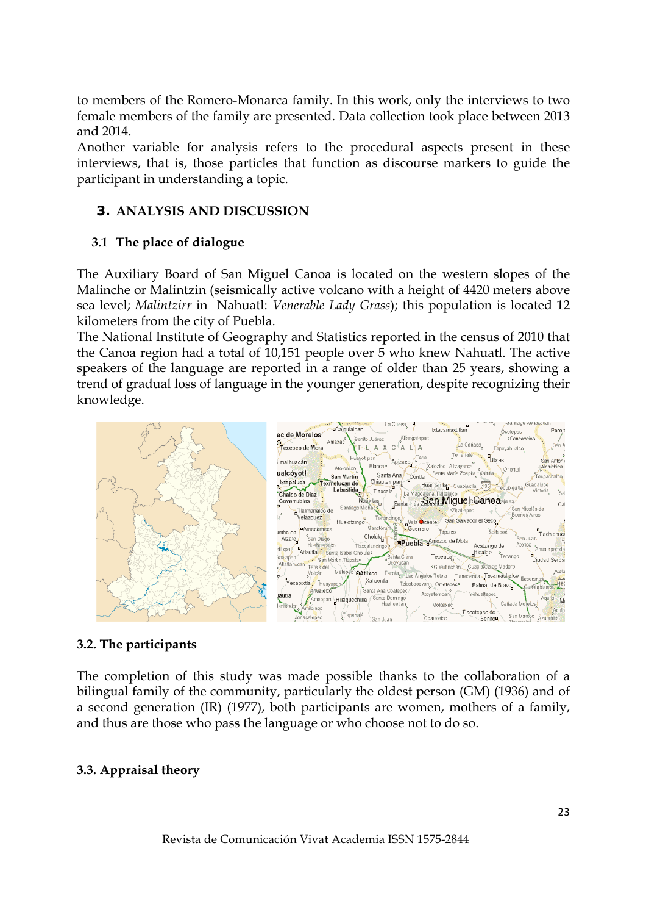to members of the Romero-Monarca family. In this work, only the interviews to two female members of the family are presented. Data collection took place between 2013 and 2014.

Another variable for analysis refers to the procedural aspects present in these interviews, that is, those particles that function as discourse markers to guide the participant in understanding a topic.

# **3. ANALYSIS AND DISCUSSION**

## **3.1 The place of dialogue**

The Auxiliary Board of San Miguel Canoa is located on the western slopes of the Malinche or Malintzin (seismically active volcano with a height of 4420 meters above sea level; *Malintzirr* in Nahuatl: *Venerable Lady Grass*); this population is located 12 kilometers from the city of Puebla.

The National Institute of Geography and Statistics reported in the census of 2010 that the Canoa region had a total of 10,151 people over 5 who knew Nahuatl. The active speakers of the language are reported in a range of older than 25 years, showing a trend of gradual loss of language in the younger generation, despite recognizing their knowledge.



# **3.2. The participants**

The completion of this study was made possible thanks to the collaboration of a bilingual family of the community, particularly the oldest person (GM) (1936) and of a second generation (IR) (1977), both participants are women, mothers of a family, and thus are those who pass the language or who choose not to do so.

## **3.3. Appraisal theory**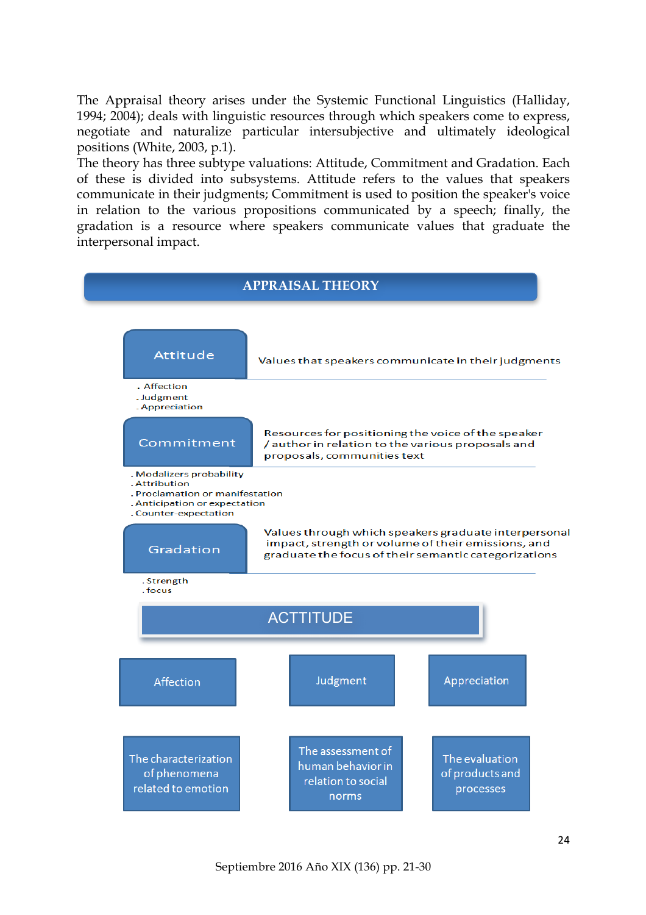The Appraisal theory arises under the Systemic Functional Linguistics (Halliday, 1994; 2004); deals with linguistic resources through which speakers come to express, negotiate and naturalize particular intersubjective and ultimately ideological positions (White, 2003, p.1).

The theory has three subtype valuations: Attitude, Commitment and Gradation. Each of these is divided into subsystems. Attitude refers to the values that speakers communicate in their judgments; Commitment is used to position the speaker's voice in relation to the various propositions communicated by a speech; finally, the gradation is a resource where speakers communicate values that graduate the interpersonal impact.

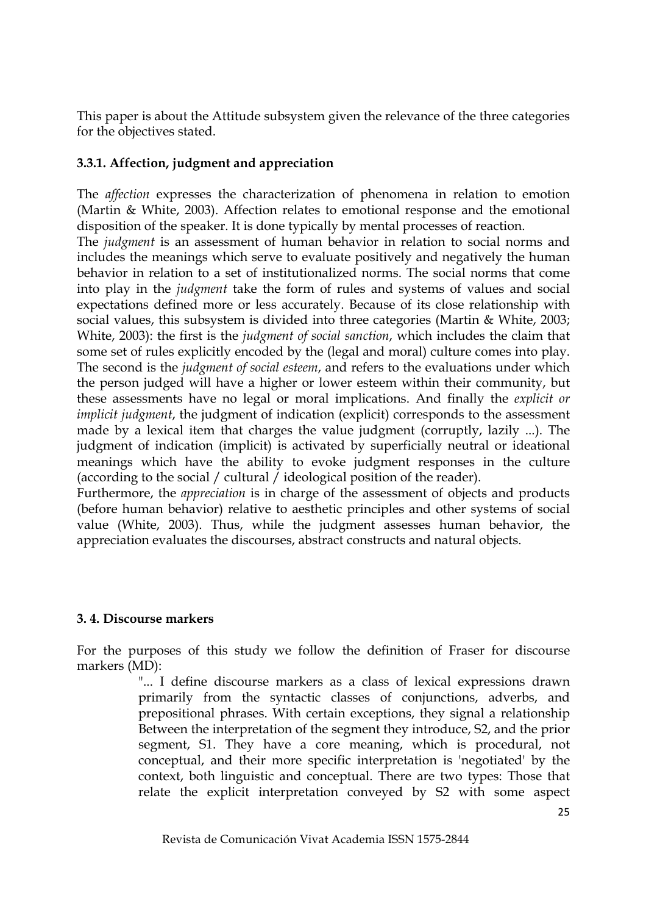This paper is about the Attitude subsystem given the relevance of the three categories for the objectives stated.

## **3.3.1. Affection, judgment and appreciation**

The *affection* expresses the characterization of phenomena in relation to emotion (Martin & White, 2003). Affection relates to emotional response and the emotional disposition of the speaker. It is done typically by mental processes of reaction.

The *judgment* is an assessment of human behavior in relation to social norms and includes the meanings which serve to evaluate positively and negatively the human behavior in relation to a set of institutionalized norms. The social norms that come into play in the *judgment* take the form of rules and systems of values and social expectations defined more or less accurately. Because of its close relationship with social values, this subsystem is divided into three categories (Martin & White, 2003; White, 2003): the first is the *judgment of social sanction*, which includes the claim that some set of rules explicitly encoded by the (legal and moral) culture comes into play. The second is the *judgment of social esteem*, and refers to the evaluations under which the person judged will have a higher or lower esteem within their community, but these assessments have no legal or moral implications. And finally the *explicit or implicit judgment*, the judgment of indication (explicit) corresponds to the assessment made by a lexical item that charges the value judgment (corruptly, lazily ...). The judgment of indication (implicit) is activated by superficially neutral or ideational meanings which have the ability to evoke judgment responses in the culture (according to the social / cultural / ideological position of the reader).

Furthermore, the *appreciation* is in charge of the assessment of objects and products (before human behavior) relative to aesthetic principles and other systems of social value (White, 2003). Thus, while the judgment assesses human behavior, the appreciation evaluates the discourses, abstract constructs and natural objects.

## **3. 4. Discourse markers**

For the purposes of this study we follow the definition of Fraser for discourse markers (MD):

> "... I define discourse markers as a class of lexical expressions drawn primarily from the syntactic classes of conjunctions, adverbs, and prepositional phrases. With certain exceptions, they signal a relationship Between the interpretation of the segment they introduce, S2, and the prior segment, S1. They have a core meaning, which is procedural, not conceptual, and their more specific interpretation is 'negotiated' by the context, both linguistic and conceptual. There are two types: Those that relate the explicit interpretation conveyed by S2 with some aspect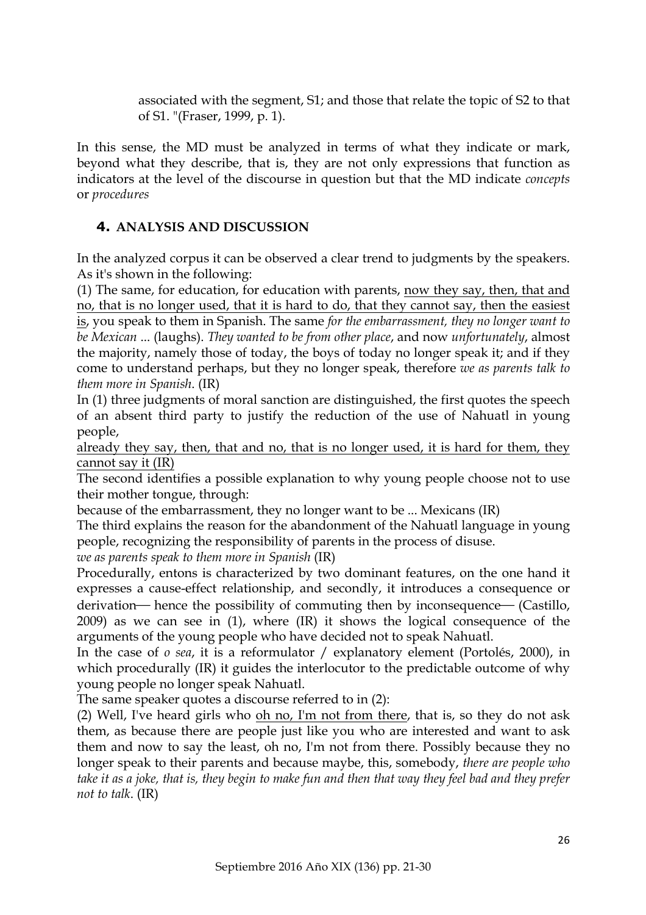associated with the segment, S1; and those that relate the topic of S2 to that of S1. "(Fraser, 1999, p. 1).

In this sense, the MD must be analyzed in terms of what they indicate or mark, beyond what they describe, that is, they are not only expressions that function as indicators at the level of the discourse in question but that the MD indicate *concepts* or *procedures*

## **4. ANALYSIS AND DISCUSSION**

In the analyzed corpus it can be observed a clear trend to judgments by the speakers. As it's shown in the following:

(1) The same, for education, for education with parents, now they say, then, that and no, that is no longer used, that it is hard to do, that they cannot say, then the easiest is, you speak to them in Spanish. The same *for the embarrassment, they no longer want to be Mexican* ... (laughs). *They wanted to be from other place*, and now *unfortunately*, almost the majority, namely those of today, the boys of today no longer speak it; and if they come to understand perhaps, but they no longer speak, therefore *we as parents talk to them more in Spanish*. (IR)

In (1) three judgments of moral sanction are distinguished, the first quotes the speech of an absent third party to justify the reduction of the use of Nahuatl in young people,

already they say, then, that and no, that is no longer used, it is hard for them, they cannot say it (IR)

The second identifies a possible explanation to why young people choose not to use their mother tongue, through:

because of the embarrassment, they no longer want to be ... Mexicans (IR)

The third explains the reason for the abandonment of the Nahuatl language in young people, recognizing the responsibility of parents in the process of disuse.

*we as parents speak to them more in Spanish* (IR)

Procedurally, entons is characterized by two dominant features, on the one hand it expresses a cause-effect relationship, and secondly, it introduces a consequence or derivation— hence the possibility of commuting then by inconsequence— (Castillo, 2009) as we can see in (1), where (IR) it shows the logical consequence of the arguments of the young people who have decided not to speak Nahuatl.

In the case of *o sea*, it is a reformulator / explanatory element (Portolés, 2000), in which procedurally (IR) it guides the interlocutor to the predictable outcome of why young people no longer speak Nahuatl.

The same speaker quotes a discourse referred to in (2):

(2) Well, I've heard girls who oh no, I'm not from there, that is, so they do not ask them, as because there are people just like you who are interested and want to ask them and now to say the least, oh no, I'm not from there. Possibly because they no longer speak to their parents and because maybe, this, somebody, *there are people who take it as a joke, that is, they begin to make fun and then that way they feel bad and they prefer not to talk*. (IR)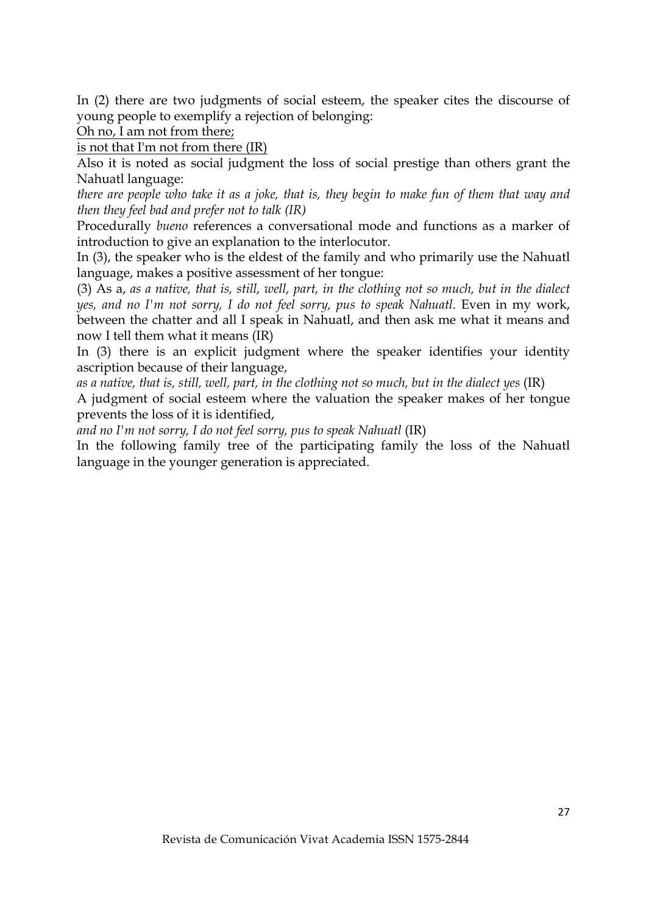In (2) there are two judgments of social esteem, the speaker cites the discourse of young people to exemplify a rejection of belonging:

Oh no, I am not from there;

is not that I'm not from there (IR)

Also it is noted as social judgment the loss of social prestige than others grant the Nahuatl language:

*there are people who take it as a joke, that is, they begin to make fun of them that way and then they feel bad and prefer not to talk (IR)*

Procedurally *bueno* references a conversational mode and functions as a marker of introduction to give an explanation to the interlocutor.

In (3), the speaker who is the eldest of the family and who primarily use the Nahuatl language, makes a positive assessment of her tongue:

(3) As a, *as a native, that is, still, well, part, in the clothing not so much, but in the dialect yes, and no I'm not sorry, I do not feel sorry, pus to speak Nahuatl*. Even in my work, between the chatter and all I speak in Nahuatl, and then ask me what it means and now I tell them what it means (IR)

In (3) there is an explicit judgment where the speaker identifies your identity ascription because of their language,

*as a native, that is, still, well, part, in the clothing not so much, but in the dialect yes* (IR)

A judgment of social esteem where the valuation the speaker makes of her tongue prevents the loss of it is identified,

*and no I'm not sorry, I do not feel sorry, pus to speak Nahuatl* (IR)

In the following family tree of the participating family the loss of the Nahuatl language in the younger generation is appreciated.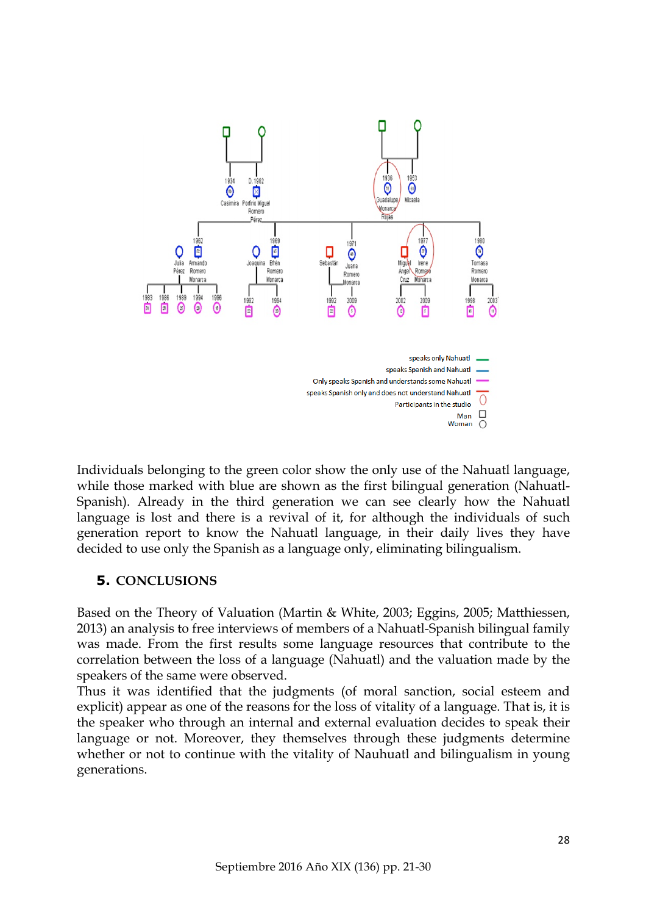

Individuals belonging to the green color show the only use of the Nahuatl language, while those marked with blue are shown as the first bilingual generation (Nahuatl-Spanish). Already in the third generation we can see clearly how the Nahuatl language is lost and there is a revival of it, for although the individuals of such generation report to know the Nahuatl language, in their daily lives they have decided to use only the Spanish as a language only, eliminating bilingualism.

# **5. CONCLUSIONS**

Based on the Theory of Valuation (Martin & White, 2003; Eggins, 2005; Matthiessen, 2013) an analysis to free interviews of members of a Nahuatl-Spanish bilingual family was made. From the first results some language resources that contribute to the correlation between the loss of a language (Nahuatl) and the valuation made by the speakers of the same were observed.

Thus it was identified that the judgments (of moral sanction, social esteem and explicit) appear as one of the reasons for the loss of vitality of a language. That is, it is the speaker who through an internal and external evaluation decides to speak their language or not. Moreover, they themselves through these judgments determine whether or not to continue with the vitality of Nauhuatl and bilingualism in young generations.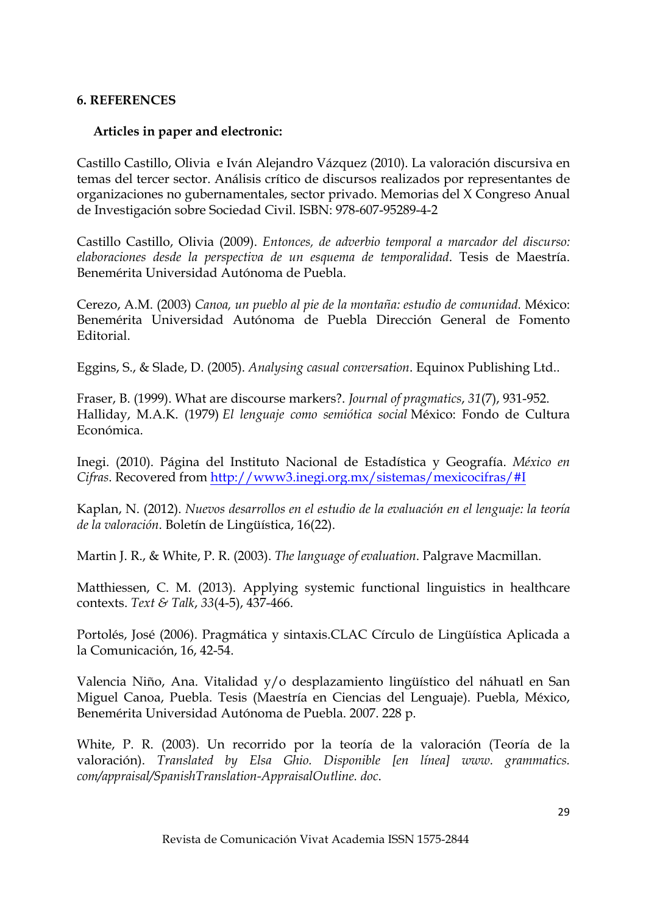## **6. REFERENCES**

#### **Articles in paper and electronic:**

Castillo Castillo, Olivia e Iván Alejandro Vázquez (2010). La valoración discursiva en temas del tercer sector. Análisis crítico de discursos realizados por representantes de organizaciones no gubernamentales, sector privado. Memorias del X Congreso Anual de Investigación sobre Sociedad Civil. ISBN: 978-607-95289-4-2

Castillo Castillo, Olivia (2009). *Entonces, de adverbio temporal a marcador del discurso: elaboraciones desde la perspectiva de un esquema de temporalidad*. Tesis de Maestría. Benemérita Universidad Autónoma de Puebla.

Cerezo, A.M. (2003) *Canoa, un pueblo al pie de la montaña: estudio de comunidad.* México: Benemérita Universidad Autónoma de Puebla Dirección General de Fomento Editorial.

Eggins, S., & Slade, D. (2005). *Analysing casual conversation*. Equinox Publishing Ltd..

Fraser, B. (1999). What are discourse markers?. *Journal of pragmatics*, *31*(7), 931-952. Halliday, M.A.K. (1979) *El lenguaje como semiótica social* México: Fondo de Cultura Económica.

Inegi. (2010). Página del Instituto Nacional de Estadística y Geografía. *México en Cifras*. Recovered from http://www3.inegi.org.mx/sistemas/mexicocifras/#I

Kaplan, N. (2012). *Nuevos desarrollos en el estudio de la evaluación en el lenguaje: la teoría de la valoración*. Boletín de Lingüística, 16(22).

Martin J. R., & White, P. R. (2003). *The language of evaluation*. Palgrave Macmillan.

Matthiessen, C. M. (2013). Applying systemic functional linguistics in healthcare contexts. *Text & Talk*, *33*(4-5), 437-466.

Portolés, José (2006). Pragmática y sintaxis.CLAC Círculo de Lingüística Aplicada a la Comunicación, 16, 42-54.

Valencia Niño, Ana. Vitalidad y/o desplazamiento lingüístico del náhuatl en San Miguel Canoa, Puebla. Tesis (Maestría en Ciencias del Lenguaje). Puebla, México, Benemérita Universidad Autónoma de Puebla. 2007. 228 p.

White, P. R. (2003). Un recorrido por la teoría de la valoración (Teoría de la valoración). *Translated by Elsa Ghio. Disponible [en línea] www. grammatics. com/appraisal/SpanishTranslation-AppraisalOutline. doc*.